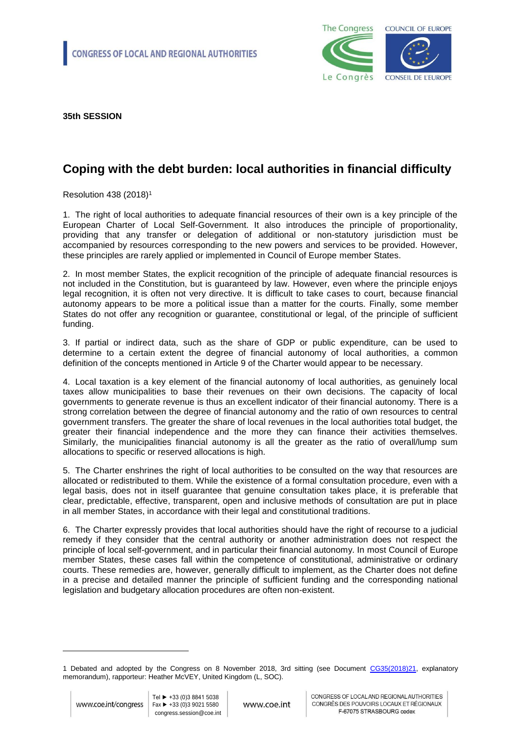

**35th SESSION** 

## **Coping with the debt burden: local authorities in financial difficulty**

Resolution 438 (2018)<sup>1</sup>

1. The right of local authorities to adequate financial resources of their own is a key principle of the European Charter of Local Self-Government. It also introduces the principle of proportionality, providing that any transfer or delegation of additional or non-statutory jurisdiction must be accompanied by resources corresponding to the new powers and services to be provided. However, these principles are rarely applied or implemented in Council of Europe member States.

2. In most member States, the explicit recognition of the principle of adequate financial resources is not included in the Constitution, but is guaranteed by law. However, even where the principle enjoys legal recognition, it is often not very directive. It is difficult to take cases to court, because financial autonomy appears to be more a political issue than a matter for the courts. Finally, some member States do not offer any recognition or guarantee, constitutional or legal, of the principle of sufficient funding.

3. If partial or indirect data, such as the share of GDP or public expenditure, can be used to determine to a certain extent the degree of financial autonomy of local authorities, a common definition of the concepts mentioned in Article 9 of the Charter would appear to be necessary.

4. Local taxation is a key element of the financial autonomy of local authorities, as genuinely local taxes allow municipalities to base their revenues on their own decisions. The capacity of local governments to generate revenue is thus an excellent indicator of their financial autonomy. There is a strong correlation between the degree of financial autonomy and the ratio of own resources to central government transfers. The greater the share of local revenues in the local authorities total budget, the greater their financial independence and the more they can finance their activities themselves. Similarly, the municipalities financial autonomy is all the greater as the ratio of overall/lump sum allocations to specific or reserved allocations is high.

5. The Charter enshrines the right of local authorities to be consulted on the way that resources are allocated or redistributed to them. While the existence of a formal consultation procedure, even with a legal basis, does not in itself guarantee that genuine consultation takes place, it is preferable that clear, predictable, effective, transparent, open and inclusive methods of consultation are put in place in all member States, in accordance with their legal and constitutional traditions.

6. The Charter expressly provides that local authorities should have the right of recourse to a judicial remedy if they consider that the central authority or another administration does not respect the principle of local self-government, and in particular their financial autonomy. In most Council of Europe member States, these cases fall within the competence of constitutional, administrative or ordinary courts. These remedies are, however, generally difficult to implement, as the Charter does not define in a precise and detailed manner the principle of sufficient funding and the corresponding national legislation and budgetary allocation procedures are often non-existent.

-

<sup>1</sup> Debated and adopted by the Congress on 8 November 2018, 3rd sitting (see Document [CG35\(2018\)21,](http://rm.coe.int/coping-with-the-debt-burden-local-authorities-in-financial-difficulty/16808d3dc6) explanatory memorandum), rapporteur: Heather McVEY, United Kingdom (L, SOC).